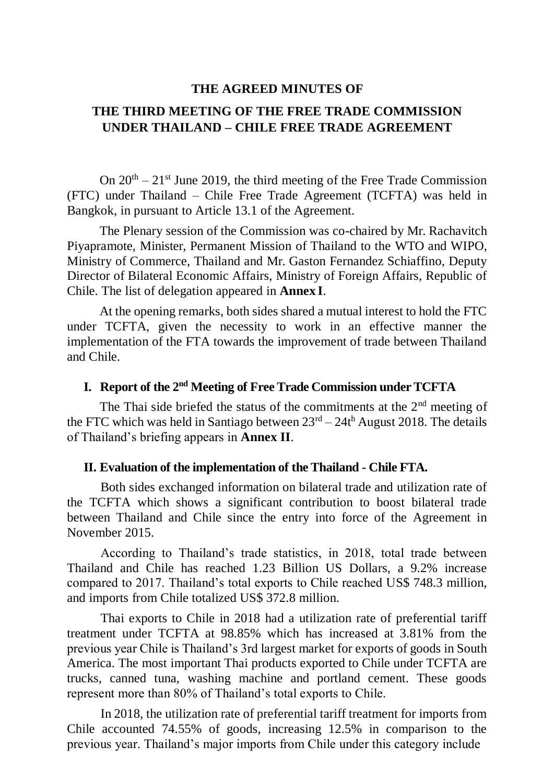#### **THE AGREED MINUTES OF**

### **THE THIRD MEETING OF THE FREE TRADE COMMISSION UNDER THAILAND – CHILE FREE TRADE AGREEMENT**

On  $20^{th} - 21^{st}$  June 2019, the third meeting of the Free Trade Commission (FTC) under Thailand – Chile Free Trade Agreement (TCFTA) was held in Bangkok, in pursuant to Article 13.1 of the Agreement.

The Plenary session of the Commission was co-chaired by Mr. Rachavitch Piyapramote, Minister, Permanent Mission of Thailand to the WTO and WIPO, Ministry of Commerce, Thailand and Mr. Gaston Fernandez Schiaffino, Deputy Director of Bilateral Economic Affairs, Ministry of Foreign Affairs, Republic of Chile. The list of delegation appeared in **Annex I**.

At the opening remarks, both sides shared a mutual interest to hold the FTC under TCFTA, given the necessity to work in an effective manner the implementation of the FTA towards the improvement of trade between Thailand and Chile.

### **I. Report of the 2 nd Meeting of Free Trade Commission underTCFTA**

The Thai side briefed the status of the commitments at the  $2<sup>nd</sup>$  meeting of the FTC which was held in Santiago between  $23<sup>rd</sup> - 24t<sup>h</sup>$  August 2018. The details of Thailand's briefing appears in **Annex II**.

#### **II. Evaluation of the implementation of the Thailand - Chile FTA.**

Both sides exchanged information on bilateral trade and utilization rate of the TCFTA which shows a significant contribution to boost bilateral trade between Thailand and Chile since the entry into force of the Agreement in November 2015.

According to Thailand's trade statistics, in 2018, total trade between Thailand and Chile has reached 1.23 Billion US Dollars, a 9.2% increase compared to 2017. Thailand's total exports to Chile reached US\$ 748.3 million, and imports from Chile totalized US\$ 372.8 million.

Thai exports to Chile in 2018 had a utilization rate of preferential tariff treatment under TCFTA at 98.85% which has increased at 3.81% from the previous year Chile is Thailand's 3rd largest market for exports of goods in South America. The most important Thai products exported to Chile under TCFTA are trucks, canned tuna, washing machine and portland cement. These goods represent more than 80% of Thailand's total exports to Chile.

In 2018, the utilization rate of preferential tariff treatment for imports from Chile accounted 74.55% of goods, increasing 12.5% in comparison to the previous year. Thailand's major imports from Chile under this category include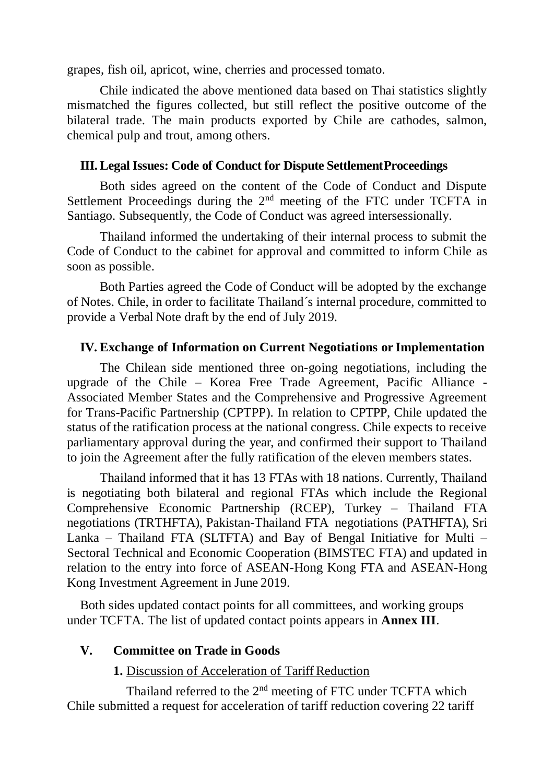grapes, fish oil, apricot, wine, cherries and processed tomato.

Chile indicated the above mentioned data based on Thai statistics slightly mismatched the figures collected, but still reflect the positive outcome of the bilateral trade. The main products exported by Chile are cathodes, salmon, chemical pulp and trout, among others.

### **III.Legal Issues: Code of Conduct for Dispute SettlementProceedings**

Both sides agreed on the content of the Code of Conduct and Dispute Settlement Proceedings during the  $2<sup>nd</sup>$  meeting of the FTC under TCFTA in Santiago. Subsequently, the Code of Conduct was agreed intersessionally.

Thailand informed the undertaking of their internal process to submit the Code of Conduct to the cabinet for approval and committed to inform Chile as soon as possible.

Both Parties agreed the Code of Conduct will be adopted by the exchange of Notes. Chile, in order to facilitate Thailand´s internal procedure, committed to provide a Verbal Note draft by the end of July 2019.

### **IV. Exchange of Information on Current Negotiations or Implementation**

The Chilean side mentioned three on-going negotiations, including the upgrade of the Chile – Korea Free Trade Agreement, Pacific Alliance - Associated Member States and the Comprehensive and Progressive Agreement for Trans-Pacific Partnership (CPTPP). In relation to CPTPP, Chile updated the status of the ratification process at the national congress. Chile expects to receive parliamentary approval during the year, and confirmed their support to Thailand to join the Agreement after the fully ratification of the eleven members states.

Thailand informed that it has 13 FTAs with 18 nations. Currently, Thailand is negotiating both bilateral and regional FTAs which include the Regional Comprehensive Economic Partnership (RCEP), Turkey – Thailand FTA negotiations (TRTHFTA), Pakistan-Thailand FTA negotiations (PATHFTA), Sri Lanka – Thailand FTA (SLTFTA) and Bay of Bengal Initiative for Multi – Sectoral Technical and Economic Cooperation (BIMSTEC FTA) and updated in relation to the entry into force of ASEAN-Hong Kong FTA and ASEAN-Hong Kong Investment Agreement in June 2019.

Both sides updated contact points for all committees, and working groups under TCFTA. The list of updated contact points appears in **Annex III**.

### **V. Committee on Trade in Goods**

### **1.** Discussion of Acceleration of Tariff Reduction

Thailand referred to the 2<sup>nd</sup> meeting of FTC under TCFTA which Chile submitted a request for acceleration of tariff reduction covering 22 tariff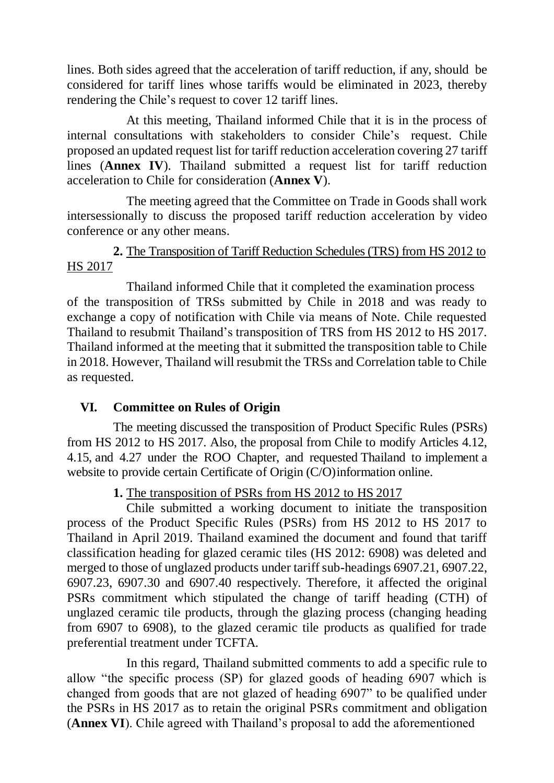lines. Both sides agreed that the acceleration of tariff reduction, if any, should be considered for tariff lines whose tariffs would be eliminated in 2023, thereby rendering the Chile's request to cover 12 tariff lines.

At this meeting, Thailand informed Chile that it is in the process of internal consultations with stakeholders to consider Chile's request. Chile proposed an updated request list for tariff reduction acceleration covering 27 tariff lines (**Annex IV**). Thailand submitted a request list for tariff reduction acceleration to Chile for consideration (**Annex V**).

The meeting agreed that the Committee on Trade in Goods shall work intersessionally to discuss the proposed tariff reduction acceleration by video conference or any other means.

### **2.** The Transposition of Tariff Reduction Schedules (TRS) from HS 2012 to HS 2017

Thailand informed Chile that it completed the examination process of the transposition of TRSs submitted by Chile in 2018 and was ready to exchange a copy of notification with Chile via means of Note. Chile requested Thailand to resubmit Thailand's transposition of TRS from HS 2012 to HS 2017. Thailand informed at the meeting that it submitted the transposition table to Chile in 2018. However, Thailand will resubmit the TRSs and Correlation table to Chile as requested.

# **VI. Committee on Rules of Origin**

The meeting discussed the transposition of Product Specific Rules (PSRs) from HS 2012 to HS 2017. Also, the proposal from Chile to modify Articles 4.12, 4.15, and 4.27 under the ROO Chapter, and requested Thailand to implement a website to provide certain Certificate of Origin (C/O)information online.

# **1.** The transposition of PSRs from HS 2012 to HS 2017

Chile submitted a working document to initiate the transposition process of the Product Specific Rules (PSRs) from HS 2012 to HS 2017 to Thailand in April 2019. Thailand examined the document and found that tariff classification heading for glazed ceramic tiles (HS 2012: 6908) was deleted and merged to those of unglazed products under tariff sub-headings 6907.21, 6907.22, 6907.23, 6907.30 and 6907.40 respectively. Therefore, it affected the original PSRs commitment which stipulated the change of tariff heading (CTH) of unglazed ceramic tile products, through the glazing process (changing heading from 6907 to 6908), to the glazed ceramic tile products as qualified for trade preferential treatment under TCFTA.

In this regard, Thailand submitted comments to add a specific rule to allow "the specific process (SP) for glazed goods of heading 6907 which is changed from goods that are not glazed of heading 6907" to be qualified under the PSRs in HS 2017 as to retain the original PSRs commitment and obligation (**Annex VI**). Chile agreed with Thailand's proposal to add the aforementioned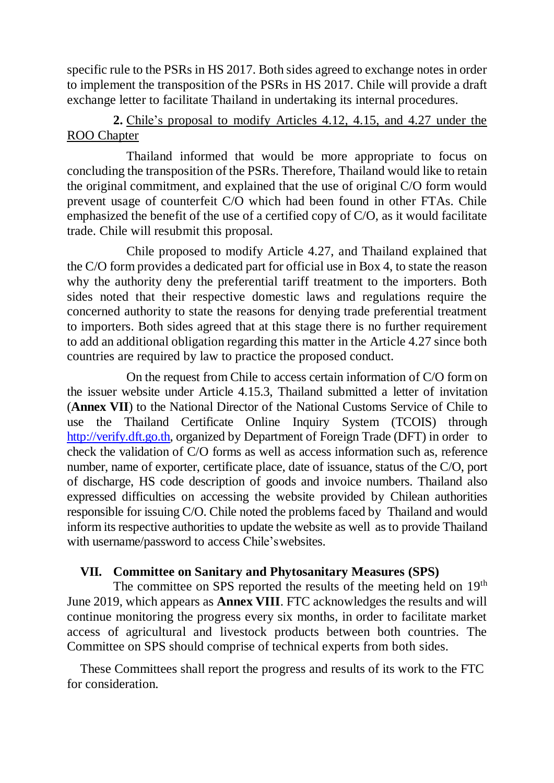specific rule to the PSRs in HS 2017. Both sides agreed to exchange notes in order to implement the transposition of the PSRs in HS 2017. Chile will provide a draft exchange letter to facilitate Thailand in undertaking its internal procedures.

### **2.** Chile's proposal to modify Articles 4.12, 4.15, and 4.27 under the ROO Chapter

Thailand informed that would be more appropriate to focus on concluding the transposition of the PSRs. Therefore, Thailand would like to retain the original commitment, and explained that the use of original C/O form would prevent usage of counterfeit C/O which had been found in other FTAs. Chile emphasized the benefit of the use of a certified copy of C/O, as it would facilitate trade. Chile will resubmit this proposal.

Chile proposed to modify Article 4.27, and Thailand explained that the C/O form provides a dedicated part for official use in Box 4, to state the reason why the authority deny the preferential tariff treatment to the importers. Both sides noted that their respective domestic laws and regulations require the concerned authority to state the reasons for denying trade preferential treatment to importers. Both sides agreed that at this stage there is no further requirement to add an additional obligation regarding this matter in the Article 4.27 since both countries are required by law to practice the proposed conduct.

On the request from Chile to access certain information of C/O form on the issuer website under Article 4.15.3, Thailand submitted a letter of invitation (**Annex VII**) to the National Director of the National Customs Service of Chile to use the Thailand Certificate Online Inquiry System (TCOIS) through [http://verify.dft.go.th,](http://verify.dft.go.th/) organized by Department of Foreign Trade (DFT) in order to check the validation of C/O forms as well as access information such as, reference number, name of exporter, certificate place, date of issuance, status of the C/O, port of discharge, HS code description of goods and invoice numbers. Thailand also expressed difficulties on accessing the website provided by Chilean authorities responsible for issuing C/O. Chile noted the problems faced by Thailand and would inform its respective authorities to update the website as well as to provide Thailand with username/password to access Chile'swebsites.

### **VII. Committee on Sanitary and Phytosanitary Measures (SPS)**

The committee on SPS reported the results of the meeting held on 19<sup>th</sup> June 2019, which appears as **Annex VIII**. FTC acknowledges the results and will continue monitoring the progress every six months, in order to facilitate market access of agricultural and livestock products between both countries. The Committee on SPS should comprise of technical experts from both sides.

These Committees shall report the progress and results of its work to the FTC for consideration.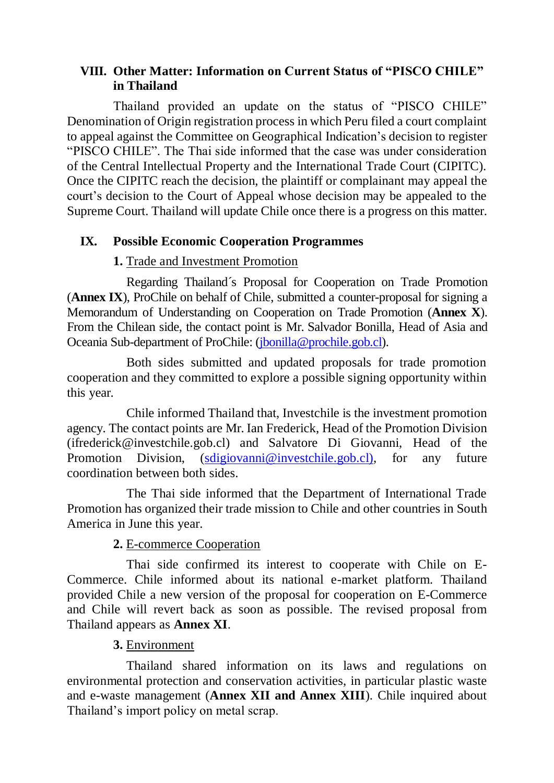### **VIII. Other Matter: Information on Current Status of "PISCO CHILE" in Thailand**

Thailand provided an update on the status of "PISCO CHILE" Denomination of Origin registration process in which Peru filed a court complaint to appeal against the Committee on Geographical Indication's decision to register "PISCO CHILE". The Thai side informed that the case was under consideration of the Central Intellectual Property and the International Trade Court (CIPITC). Once the CIPITC reach the decision, the plaintiff or complainant may appeal the court's decision to the Court of Appeal whose decision may be appealed to the Supreme Court. Thailand will update Chile once there is a progress on this matter.

### **IX. Possible Economic Cooperation Programmes**

### **1.** Trade and Investment Promotion

Regarding Thailand´s Proposal for Cooperation on Trade Promotion (**Annex IX**), ProChile on behalf of Chile, submitted a counter-proposal for signing a Memorandum of Understanding on Cooperation on Trade Promotion (**Annex X**). From the Chilean side, the contact point is Mr. Salvador Bonilla, Head of Asia and Oceania Sub-department of ProChile: [\(jbonilla@prochile.gob.cl\)](mailto:jbonilla@prochile.gob.cl).

Both sides submitted and updated proposals for trade promotion cooperation and they committed to explore a possible signing opportunity within this year.

Chile informed Thailand that, Investchile is the investment promotion agency. The contact points are Mr. Ian Frederick, Head of the Promotion Division (ifrederick@investchile.gob.cl) and Salvatore Di Giovanni, Head of the Promotion Division, (sdigiovanni@investchile.gob.cl), for any future coordination between both sides.

The Thai side informed that the Department of International Trade Promotion has organized their trade mission to Chile and other countries in South America in June this year.

### **2.** E-commerce Cooperation

Thai side confirmed its interest to cooperate with Chile on E-Commerce. Chile informed about its national e-market platform. Thailand provided Chile a new version of the proposal for cooperation on E-Commerce and Chile will revert back as soon as possible. The revised proposal from Thailand appears as **Annex XI**.

### **3.** Environment

Thailand shared information on its laws and regulations on environmental protection and conservation activities, in particular plastic waste and e-waste management (**Annex XII and Annex XIII**). Chile inquired about Thailand's import policy on metal scrap.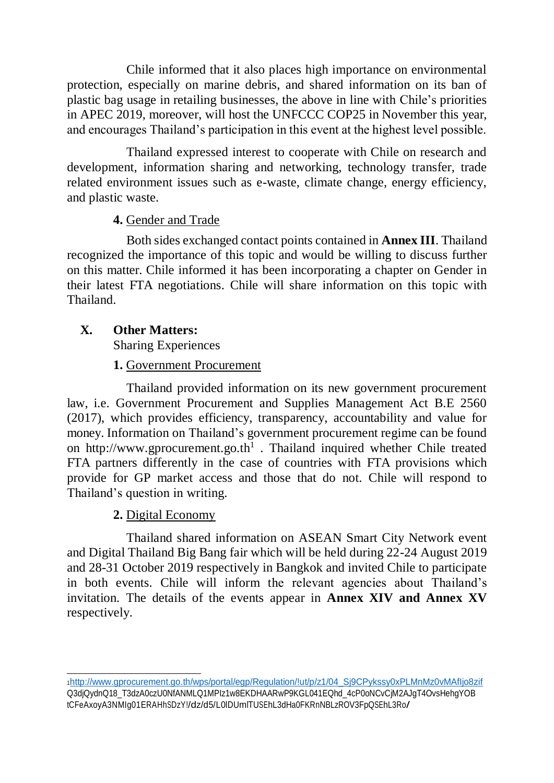Chile informed that it also places high importance on environmental protection, especially on marine debris, and shared information on its ban of plastic bag usage in retailing businesses, the above in line with Chile's priorities in APEC 2019, moreover, will host the UNFCCC COP25 in November this year, and encourages Thailand's participation in this event at the highest level possible.

Thailand expressed interest to cooperate with Chile on research and development, information sharing and networking, technology transfer, trade related environment issues such as e-waste, climate change, energy efficiency, and plastic waste.

### **4.** Gender and Trade

Both sides exchanged contact points contained in **Annex III**. Thailand recognized the importance of this topic and would be willing to discuss further on this matter. Chile informed it has been incorporating a chapter on Gender in their latest FTA negotiations. Chile will share information on this topic with Thailand.

# **X. Other Matters:**

Sharing Experiences

# **1.** Government Procurement

Thailand provided information on its new government procurement law, i.e. Government Procurement and Supplies Management Act B.E 2560 (2017), which provides efficiency, transparency, accountability and value for money. Information on Thailand's government procurement regime can be found on [http://www.gprocurement.go.th](http://www.gprocurement.go.th1/)<sup>1</sup>. Thailand inquired whether Chile treated FTA partners differently in the case of countries with FTA provisions which provide for GP market access and those that do not. Chile will respond to Thailand's question in writing.

# **2.** Digital Economy

Thailand shared information on ASEAN Smart City Network event and Digital Thailand Big Bang fair which will be held during 22-24 August 2019 and 28-31 October 2019 respectively in Bangkok and invited Chile to participate in both events. Chile will inform the relevant agencies about Thailand's invitation. The details of the events appear in **Annex XIV and Annex XV** respectively.

<sup>1</sup>[http://www.gprocurement.go.th/wps/portal/egp/Regulation/!ut/p/z1/04\\_Sj9CPykssy0xPLMnMz0vMAfIjo8zif](http://www.gprocurement.go.th/wps/portal/egp/Regulation/!ut/p/z1/04_Sj9CPykssy0xPLMnMz0vMAfIjo8zif) Q3djQydnQ18\_T3dzA0czU0NfANMLQ1MPIz1w8EKDHAARwP9KGL041EQhd\_4cP0oNCvCjM2AJgT4OvsHehgYOB tCFeAxoyA3NMIg01ERAHhSDzY!/dz/d5/L0lDUmlTUSEhL3dHa0FKRnNBLzROV3FpQSEhL3Ro/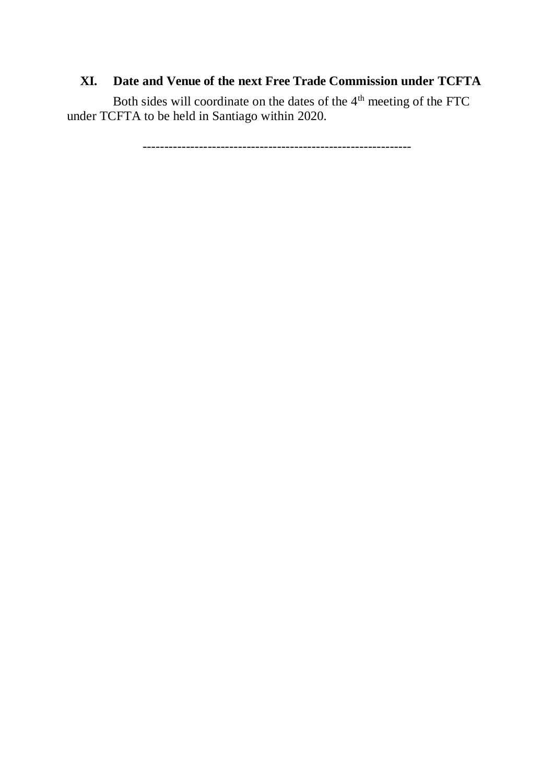# **XI. Date and Venue of the next Free Trade Commission under TCFTA**

Both sides will coordinate on the dates of the 4<sup>th</sup> meeting of the FTC under TCFTA to be held in Santiago within 2020.

--------------------------------------------------------------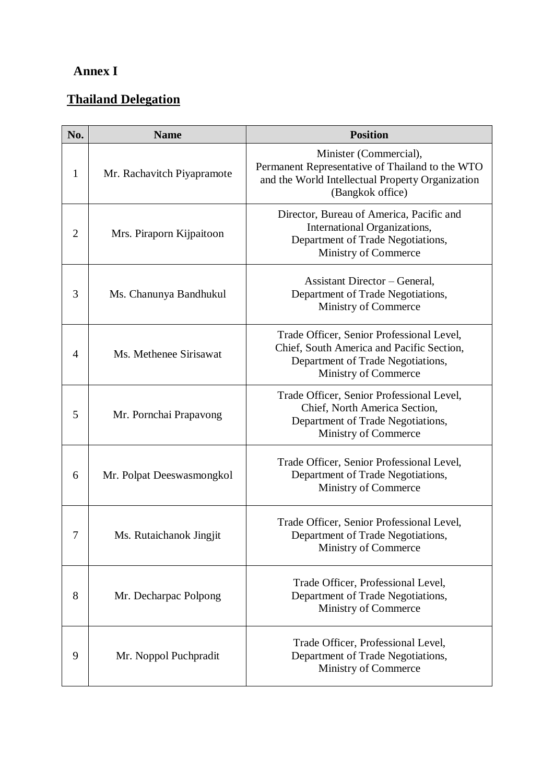# **Annex I**

# **Thailand Delegation**

| No.            | <b>Name</b>                | <b>Position</b>                                                                                                                                     |
|----------------|----------------------------|-----------------------------------------------------------------------------------------------------------------------------------------------------|
| $\mathbf{1}$   | Mr. Rachavitch Piyapramote | Minister (Commercial),<br>Permanent Representative of Thailand to the WTO<br>and the World Intellectual Property Organization<br>(Bangkok office)   |
| $\overline{2}$ | Mrs. Piraporn Kijpaitoon   | Director, Bureau of America, Pacific and<br>International Organizations,<br>Department of Trade Negotiations,<br>Ministry of Commerce               |
| 3              | Ms. Chanunya Bandhukul     | <b>Assistant Director – General,</b><br>Department of Trade Negotiations,<br>Ministry of Commerce                                                   |
| 4              | Ms. Methenee Sirisawat     | Trade Officer, Senior Professional Level,<br>Chief, South America and Pacific Section,<br>Department of Trade Negotiations,<br>Ministry of Commerce |
| 5              | Mr. Pornchai Prapavong     | Trade Officer, Senior Professional Level,<br>Chief, North America Section,<br>Department of Trade Negotiations,<br>Ministry of Commerce             |
| 6              | Mr. Polpat Deeswasmongkol  | Trade Officer, Senior Professional Level,<br>Department of Trade Negotiations,<br>Ministry of Commerce                                              |
| 7              | Ms. Rutaichanok Jingjit    | Trade Officer, Senior Professional Level,<br>Department of Trade Negotiations,<br>Ministry of Commerce                                              |
| 8              | Mr. Decharpac Polpong      | Trade Officer, Professional Level,<br>Department of Trade Negotiations,<br>Ministry of Commerce                                                     |
| 9              | Mr. Noppol Puchpradit      | Trade Officer, Professional Level,<br>Department of Trade Negotiations,<br>Ministry of Commerce                                                     |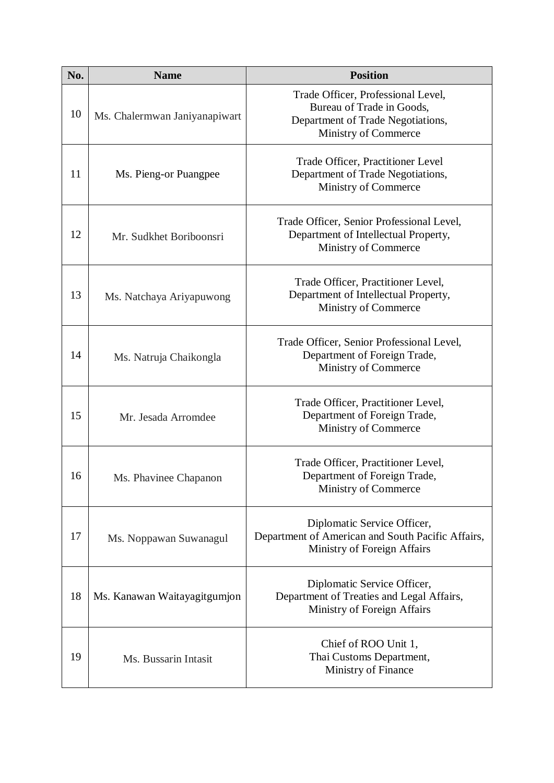| No. | <b>Name</b>                   | <b>Position</b>                                                                                                              |
|-----|-------------------------------|------------------------------------------------------------------------------------------------------------------------------|
| 10  | Ms. Chalermwan Janiyanapiwart | Trade Officer, Professional Level,<br>Bureau of Trade in Goods,<br>Department of Trade Negotiations,<br>Ministry of Commerce |
| 11  | Ms. Pieng-or Puangpee         | Trade Officer, Practitioner Level<br>Department of Trade Negotiations,<br>Ministry of Commerce                               |
| 12  | Mr. Sudkhet Boriboonsri       | Trade Officer, Senior Professional Level,<br>Department of Intellectual Property,<br>Ministry of Commerce                    |
| 13  | Ms. Natchaya Ariyapuwong      | Trade Officer, Practitioner Level,<br>Department of Intellectual Property,<br>Ministry of Commerce                           |
| 14  | Ms. Natruja Chaikongla        | Trade Officer, Senior Professional Level,<br>Department of Foreign Trade,<br>Ministry of Commerce                            |
| 15  | Mr. Jesada Arromdee           | Trade Officer, Practitioner Level,<br>Department of Foreign Trade,<br>Ministry of Commerce                                   |
| 16  | Ms. Phavinee Chapanon         | Trade Officer, Practitioner Level,<br>Department of Foreign Trade,<br>Ministry of Commerce                                   |
| 17  | Ms. Noppawan Suwanagul        | Diplomatic Service Officer,<br>Department of American and South Pacific Affairs,<br>Ministry of Foreign Affairs              |
| 18  | Ms. Kanawan Waitayagitgumjon  | Diplomatic Service Officer,<br>Department of Treaties and Legal Affairs,<br>Ministry of Foreign Affairs                      |
| 19  | Ms. Bussarin Intasit          | Chief of ROO Unit 1,<br>Thai Customs Department,<br>Ministry of Finance                                                      |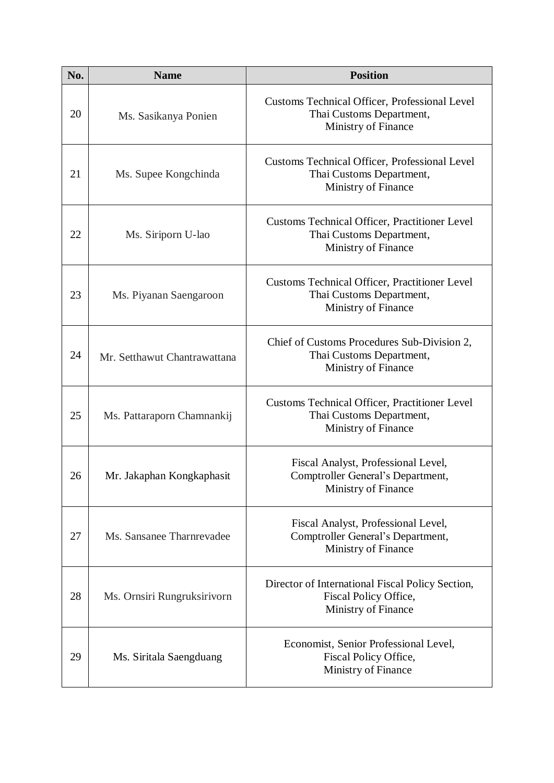| No. | <b>Name</b>                  | <b>Position</b>                                                                                         |
|-----|------------------------------|---------------------------------------------------------------------------------------------------------|
| 20  | Ms. Sasikanya Ponien         | Customs Technical Officer, Professional Level<br>Thai Customs Department,<br>Ministry of Finance        |
| 21  | Ms. Supee Kongchinda         | Customs Technical Officer, Professional Level<br>Thai Customs Department,<br>Ministry of Finance        |
| 22  | Ms. Siriporn U-lao           | <b>Customs Technical Officer, Practitioner Level</b><br>Thai Customs Department,<br>Ministry of Finance |
| 23  | Ms. Piyanan Saengaroon       | <b>Customs Technical Officer, Practitioner Level</b><br>Thai Customs Department,<br>Ministry of Finance |
| 24  | Mr. Setthawut Chantrawattana | Chief of Customs Procedures Sub-Division 2,<br>Thai Customs Department,<br>Ministry of Finance          |
| 25  | Ms. Pattaraporn Chamnankij   | <b>Customs Technical Officer, Practitioner Level</b><br>Thai Customs Department,<br>Ministry of Finance |
| 26  | Mr. Jakaphan Kongkaphasit    | Fiscal Analyst, Professional Level,<br>Comptroller General's Department,<br>Ministry of Finance         |
| 27  | Ms. Sansanee Tharnrevadee    | Fiscal Analyst, Professional Level,<br>Comptroller General's Department,<br>Ministry of Finance         |
| 28  | Ms. Ornsiri Rungruksirivorn  | Director of International Fiscal Policy Section,<br>Fiscal Policy Office,<br>Ministry of Finance        |
| 29  | Ms. Siritala Saengduang      | Economist, Senior Professional Level,<br>Fiscal Policy Office,<br>Ministry of Finance                   |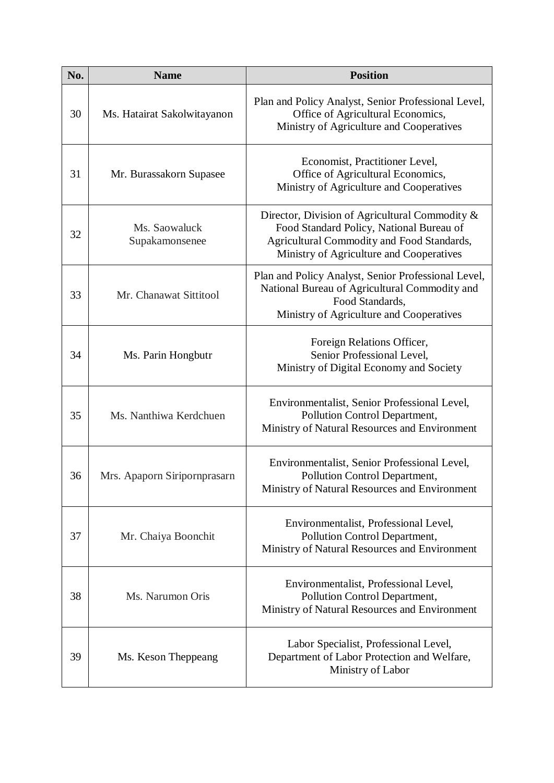| No. | <b>Name</b>                     | <b>Position</b>                                                                                                                                                                      |
|-----|---------------------------------|--------------------------------------------------------------------------------------------------------------------------------------------------------------------------------------|
| 30  | Ms. Hatairat Sakolwitayanon     | Plan and Policy Analyst, Senior Professional Level,<br>Office of Agricultural Economics,<br>Ministry of Agriculture and Cooperatives                                                 |
| 31  | Mr. Burassakorn Supasee         | Economist, Practitioner Level,<br>Office of Agricultural Economics,<br>Ministry of Agriculture and Cooperatives                                                                      |
| 32  | Ms. Saowaluck<br>Supakamonsenee | Director, Division of Agricultural Commodity &<br>Food Standard Policy, National Bureau of<br>Agricultural Commodity and Food Standards,<br>Ministry of Agriculture and Cooperatives |
| 33  | Mr. Chanawat Sittitool          | Plan and Policy Analyst, Senior Professional Level,<br>National Bureau of Agricultural Commodity and<br>Food Standards,<br>Ministry of Agriculture and Cooperatives                  |
| 34  | Ms. Parin Hongbutr              | Foreign Relations Officer,<br>Senior Professional Level,<br>Ministry of Digital Economy and Society                                                                                  |
| 35  | Ms. Nanthiwa Kerdchuen          | Environmentalist, Senior Professional Level,<br>Pollution Control Department,<br>Ministry of Natural Resources and Environment                                                       |
| 36  | Mrs. Apaporn Siripornprasarn    | Environmentalist, Senior Professional Level,<br>Pollution Control Department,<br>Ministry of Natural Resources and Environment                                                       |
| 37  | Mr. Chaiya Boonchit             | Environmentalist, Professional Level,<br>Pollution Control Department,<br>Ministry of Natural Resources and Environment                                                              |
| 38  | Ms. Narumon Oris                | Environmentalist, Professional Level,<br>Pollution Control Department,<br>Ministry of Natural Resources and Environment                                                              |
| 39  | Ms. Keson Theppeang             | Labor Specialist, Professional Level,<br>Department of Labor Protection and Welfare,<br>Ministry of Labor                                                                            |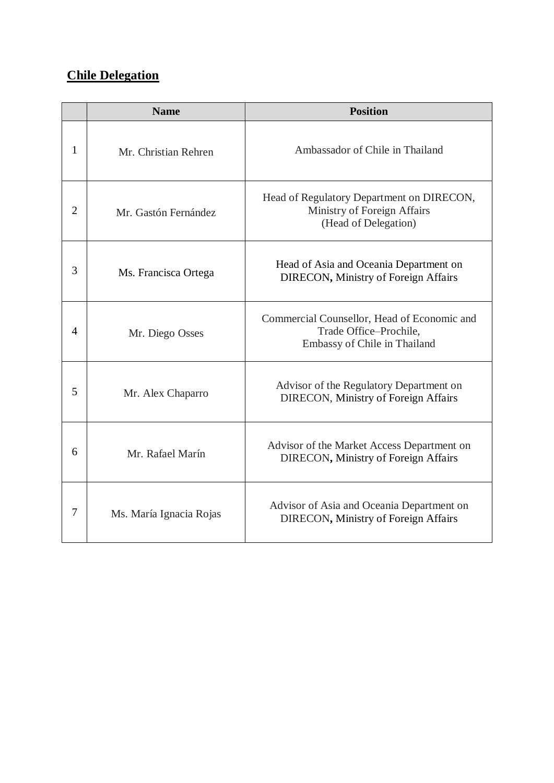# **Chile Delegation**

|   | <b>Name</b>             | <b>Position</b>                                                                                       |
|---|-------------------------|-------------------------------------------------------------------------------------------------------|
| 1 | Mr. Christian Rehren    | Ambassador of Chile in Thailand                                                                       |
| 2 | Mr. Gastón Fernández    | Head of Regulatory Department on DIRECON,<br>Ministry of Foreign Affairs<br>(Head of Delegation)      |
| 3 | Ms. Francisca Ortega    | Head of Asia and Oceania Department on<br><b>DIRECON, Ministry of Foreign Affairs</b>                 |
| 4 | Mr. Diego Osses         | Commercial Counsellor, Head of Economic and<br>Trade Office-Prochile,<br>Embassy of Chile in Thailand |
| 5 | Mr. Alex Chaparro       | Advisor of the Regulatory Department on<br><b>DIRECON, Ministry of Foreign Affairs</b>                |
| 6 | Mr. Rafael Marín        | Advisor of the Market Access Department on<br><b>DIRECON, Ministry of Foreign Affairs</b>             |
| 7 | Ms. María Ignacia Rojas | Advisor of Asia and Oceania Department on<br><b>DIRECON, Ministry of Foreign Affairs</b>              |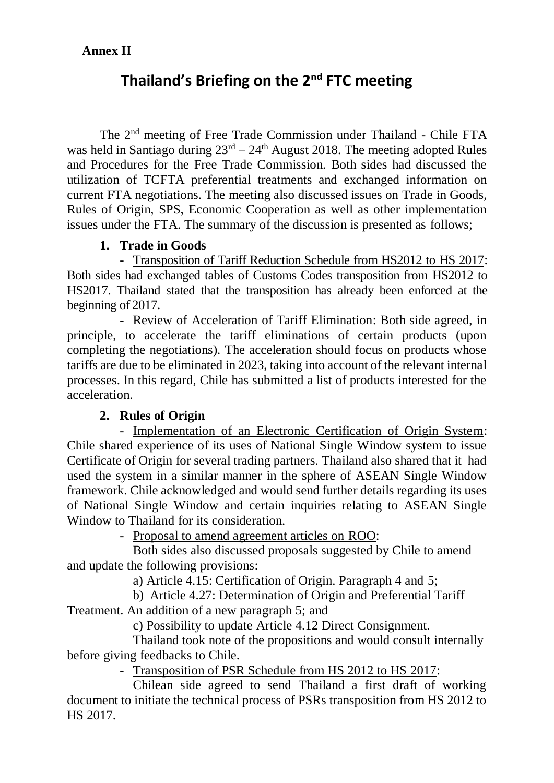### **Annex II**

# **Thailand's Briefing on the 2nd FTC meeting**

The 2nd meeting of Free Trade Commission under Thailand - Chile FTA was held in Santiago during  $23<sup>rd</sup> - 24<sup>th</sup>$  August 2018. The meeting adopted Rules and Procedures for the Free Trade Commission. Both sides had discussed the utilization of TCFTA preferential treatments and exchanged information on current FTA negotiations. The meeting also discussed issues on Trade in Goods, Rules of Origin, SPS, Economic Cooperation as well as other implementation issues under the FTA. The summary of the discussion is presented as follows;

### **1. Trade in Goods**

- Transposition of Tariff Reduction Schedule from HS2012 to HS 2017: Both sides had exchanged tables of Customs Codes transposition from HS2012 to HS2017. Thailand stated that the transposition has already been enforced at the beginning of 2017.

- Review of Acceleration of Tariff Elimination: Both side agreed, in principle, to accelerate the tariff eliminations of certain products (upon completing the negotiations). The acceleration should focus on products whose tariffs are due to be eliminated in 2023, taking into account of the relevant internal processes. In this regard, Chile has submitted a list of products interested for the acceleration.

### **2. Rules of Origin**

- Implementation of an Electronic Certification of Origin System: Chile shared experience of its uses of National Single Window system to issue Certificate of Origin for several trading partners. Thailand also shared that it had used the system in a similar manner in the sphere of ASEAN Single Window framework. Chile acknowledged and would send further details regarding its uses of National Single Window and certain inquiries relating to ASEAN Single Window to Thailand for its consideration.

- Proposal to amend agreement articles on ROO:

Both sides also discussed proposals suggested by Chile to amend and update the following provisions:

a) Article 4.15: Certification of Origin. Paragraph 4 and 5;

b) Article 4.27: Determination of Origin and Preferential Tariff Treatment. An addition of a new paragraph 5; and

c) Possibility to update Article 4.12 Direct Consignment.

Thailand took note of the propositions and would consult internally before giving feedbacks to Chile.

- Transposition of PSR Schedule from HS 2012 to HS 2017:

Chilean side agreed to send Thailand a first draft of working document to initiate the technical process of PSRs transposition from HS 2012 to HS 2017.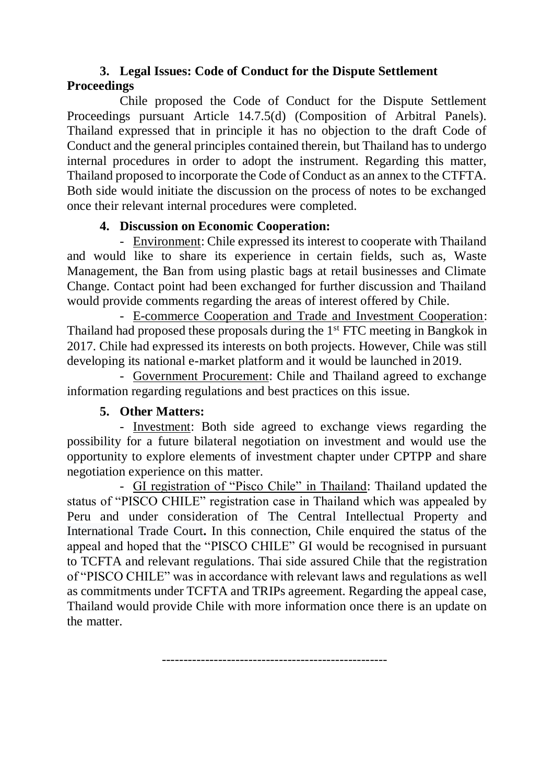### **3. Legal Issues: Code of Conduct for the Dispute Settlement Proceedings**

Chile proposed the Code of Conduct for the Dispute Settlement Proceedings pursuant Article 14.7.5(d) (Composition of Arbitral Panels). Thailand expressed that in principle it has no objection to the draft Code of Conduct and the general principles contained therein, but Thailand has to undergo internal procedures in order to adopt the instrument. Regarding this matter, Thailand proposed to incorporate the Code of Conduct as an annex to the CTFTA. Both side would initiate the discussion on the process of notes to be exchanged once their relevant internal procedures were completed.

### **4. Discussion on Economic Cooperation:**

- Environment: Chile expressed its interest to cooperate with Thailand and would like to share its experience in certain fields, such as, Waste Management, the Ban from using plastic bags at retail businesses and Climate Change. Contact point had been exchanged for further discussion and Thailand would provide comments regarding the areas of interest offered by Chile.

- E-commerce Cooperation and Trade and Investment Cooperation: Thailand had proposed these proposals during the 1<sup>st</sup> FTC meeting in Bangkok in 2017. Chile had expressed its interests on both projects. However, Chile was still developing its national e-market platform and it would be launched in 2019.

- Government Procurement: Chile and Thailand agreed to exchange information regarding regulations and best practices on this issue.

### **5. Other Matters:**

- Investment: Both side agreed to exchange views regarding the possibility for a future bilateral negotiation on investment and would use the opportunity to explore elements of investment chapter under CPTPP and share negotiation experience on this matter.

- GI registration of "Pisco Chile" in Thailand: Thailand updated the status of "PISCO CHILE" registration case in Thailand which was appealed by Peru and under consideration of The Central Intellectual Property and International Trade Court**.** In this connection, Chile enquired the status of the appeal and hoped that the "PISCO CHILE" GI would be recognised in pursuant to TCFTA and relevant regulations. Thai side assured Chile that the registration of "PISCO CHILE" was in accordance with relevant laws and regulations as well as commitments under TCFTA and TRIPs agreement. Regarding the appeal case, Thailand would provide Chile with more information once there is an update on the matter.

----------------------------------------------------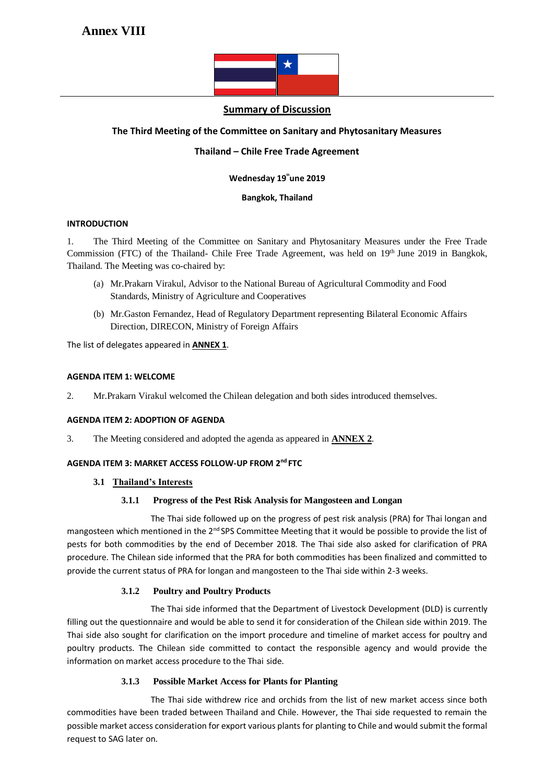

#### **Summary of Discussion**

#### **The Third Meeting of the Committee on Sanitary and Phytosanitary Measures**

#### **Thailand – Chile Free Trade Agreement**

#### **Wednesday 19thune 2019**

#### **Bangkok, Thailand**

#### **INTRODUCTION**

1. The Third Meeting of the Committee on Sanitary and Phytosanitary Measures under the Free Trade Commission (FTC) of the Thailand- Chile Free Trade Agreement, was held on 19th June 2019 in Bangkok, Thailand. The Meeting was co-chaired by:

- (a) Mr.Prakarn Virakul, Advisor to the National Bureau of Agricultural Commodity and Food Standards, Ministry of Agriculture and Cooperatives
- (b) Mr.Gaston Fernandez, Head of Regulatory Department representing Bilateral Economic Affairs Direction, DIRECON, Ministry of Foreign Affairs

The list of delegates appeared in **ANNEX 1**.

#### **AGENDA ITEM 1: WELCOME**

2. Mr.Prakarn Virakul welcomed the Chilean delegation and both sides introduced themselves.

#### **AGENDA ITEM 2: ADOPTION OF AGENDA**

3. The Meeting considered and adopted the agenda as appeared in **ANNEX 2**.

#### **AGENDA ITEM 3: MARKET ACCESS FOLLOW-UP FROM 2nd FTC**

#### **3.1 Thailand's Interests**

#### **3.1.1 Progress of the Pest Risk Analysis for Mangosteen and Longan**

The Thai side followed up on the progress of pest risk analysis (PRA) for Thai longan and mangosteen which mentioned in the 2<sup>nd</sup> SPS Committee Meeting that it would be possible to provide the list of pests for both commodities by the end of December 2018. The Thai side also asked for clarification of PRA procedure. The Chilean side informed that the PRA for both commodities has been finalized and committed to provide the current status of PRA for longan and mangosteen to the Thai side within 2-3 weeks.

#### **3.1.2 Poultry and Poultry Products**

The Thai side informed that the Department of Livestock Development (DLD) is currently filling out the questionnaire and would be able to send it for consideration of the Chilean side within 2019. The Thai side also sought for clarification on the import procedure and timeline of market access for poultry and poultry products. The Chilean side committed to contact the responsible agency and would provide the information on market access procedure to the Thai side.

#### **3.1.3 Possible Market Access for Plants for Planting**

The Thai side withdrew rice and orchids from the list of new market access since both commodities have been traded between Thailand and Chile. However, the Thai side requested to remain the possible market access consideration for export various plants for planting to Chile and would submit the formal request to SAG later on.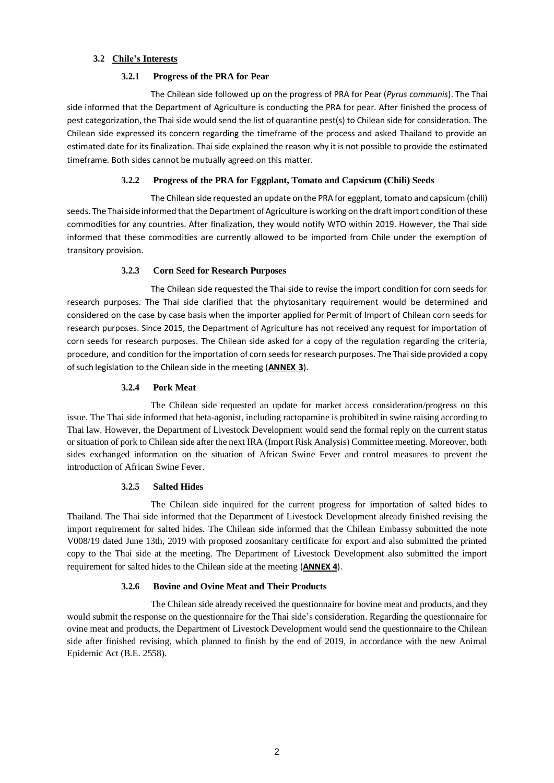#### **3.2 Chile's Interests**

#### **3.2.1 Progress of the PRA for Pear**

The Chilean side followed up on the progress of PRA for Pear (*Pyrus communis*). The Thai side informed that the Department of Agriculture is conducting the PRA for pear. After finished the process of pest categorization, the Thai side would send the list of quarantine pest(s) to Chilean side for consideration. The Chilean side expressed its concern regarding the timeframe of the process and asked Thailand to provide an estimated date for its finalization. Thai side explained the reason why it is not possible to provide the estimated timeframe. Both sides cannot be mutually agreed on this matter.

#### **3.2.2 Progress of the PRA for Eggplant, Tomato and Capsicum (Chili) Seeds**

The Chilean side requested an update on the PRA for eggplant, tomato and capsicum (chili) seeds. The Thai side informed that the Department of Agriculture is working on the draft import condition of these commodities for any countries. After finalization, they would notify WTO within 2019. However, the Thai side informed that these commodities are currently allowed to be imported from Chile under the exemption of transitory provision.

#### **3.2.3 Corn Seed for Research Purposes**

The Chilean side requested the Thai side to revise the import condition for corn seeds for research purposes. The Thai side clarified that the phytosanitary requirement would be determined and considered on the case by case basis when the importer applied for Permit of Import of Chilean corn seeds for research purposes. Since 2015, the Department of Agriculture has not received any request for importation of corn seeds for research purposes. The Chilean side asked for a copy of the regulation regarding the criteria, procedure, and condition for the importation of corn seeds for research purposes. The Thai side provided a copy ofsuch legislation to the Chilean side in the meeting (**ANNEX 3**).

#### **3.2.4 Pork Meat**

The Chilean side requested an update for market access consideration/progress on this issue. The Thai side informed that beta-agonist, including ractopamine is prohibited in swine raising according to Thai law. However, the Department of Livestock Development would send the formal reply on the current status or situation of pork to Chilean side after the next IRA (Import Risk Analysis) Committee meeting. Moreover, both sides exchanged information on the situation of African Swine Fever and control measures to prevent the introduction of African Swine Fever.

#### **3.2.5 Salted Hides**

The Chilean side inquired for the current progress for importation of salted hides to Thailand. The Thai side informed that the Department of Livestock Development already finished revising the import requirement for salted hides. The Chilean side informed that the Chilean Embassy submitted the note V008/19 dated June 13th, 2019 with proposed zoosanitary certificate for export and also submitted the printed copy to the Thai side at the meeting. The Department of Livestock Development also submitted the import requirement for salted hides to the Chilean side at the meeting (**ANNEX 4**).

#### **3.2.6 Bovine and Ovine Meat and Their Products**

The Chilean side already received the questionnaire for bovine meat and products, and they would submit the response on the questionnaire for the Thai side's consideration. Regarding the questionnaire for ovine meat and products, the Department of Livestock Development would send the questionnaire to the Chilean side after finished revising, which planned to finish by the end of 2019, in accordance with the new Animal Epidemic Act (B.E. 2558).